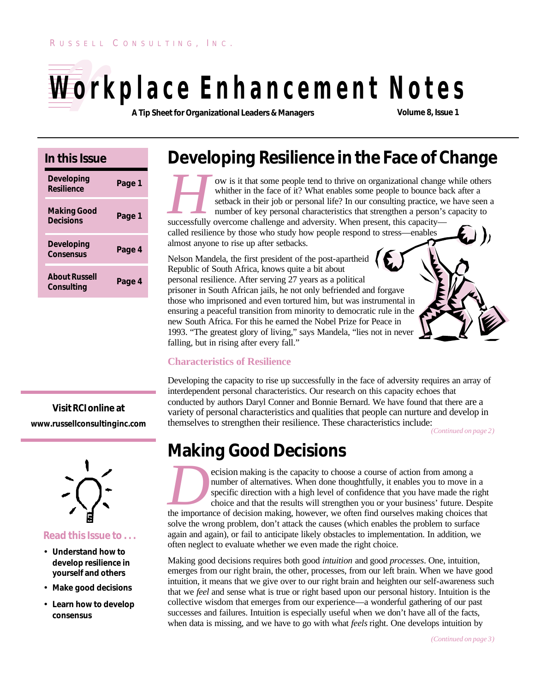# **Workplace Enhancement Notes**

**A Tip Sheet for Organizational Leaders & Managers Volume 8, Issue 1**

#### **In this Issue**

| <b>Developing</b><br>Resilience        | Page 1 |
|----------------------------------------|--------|
| <b>Making Good</b><br><b>Decisions</b> | Page 1 |
| <b>Developing</b><br><b>Consensus</b>  | Page 4 |
| <b>About Russell</b><br>Consulting     | Page 4 |

**Visit** *RCI* **online at www.russellconsultinginc.com**



#### **Read this Issue to . . .**

- **Understand how to develop resilience in yourself and others**
- **Make good decisions**
- **Learn how to develop consensus**

# **Developing Resilience in the Face of Change**

**FORE SET ASSEM SIGNARY ON IS It that some people tend to thrive on organizational change whither in the face of it? What enables some people to bounce baseback in their job or personal life? In our consulting practice, we** ow is it that some people tend to thrive on organizational change while others whither in the face of it? What enables some people to bounce back after a setback in their job or personal life? In our consulting practice, we have seen a number of key personal characteristics that strengthen a person's capacity to

called resilience by those who study how people respond to stress—enables almost anyone to rise up after setbacks.

Nelson Mandela, the first president of the post-apartheid Republic of South Africa, knows quite a bit about personal resilience. After serving 27 years as a political prisoner in South African jails, he not only befriended and forgave those who imprisoned and even tortured him, but was instrumental in ensuring a peaceful transition from minority to democratic rule in the new South Africa. For this he earned the Nobel Prize for Peace in 1993. "The greatest glory of living," says Mandela, "lies not in never falling, but in rising after every fall."

#### **Characteristics of Resilience**

Developing the capacity to rise up successfully in the face of adversity requires an array of interdependent personal characteristics. Our research on this capacity echoes that conducted by authors Daryl Conner and Bonnie Bernard. We have found that there are a variety of personal characteristics and qualities that people can nurture and develop in themselves to strengthen their resilience. These characteristics include:

*(Continued on page 2)*

# **Making Good Decisions**

**DECISION MAKING EXECUTE:** The importance of action making, however, we often find ourselves making choices that the importance of decision making, however, we often find ourselves making choices that the secular making, h ecision making is the capacity to choose a course of action from among a number of alternatives. When done thoughtfully, it enables you to move in a specific direction with a high level of confidence that you have made the right choice and that the results will strengthen you or your business' future. Despite solve the wrong problem, don't attack the causes (which enables the problem to surface again and again), or fail to anticipate likely obstacles to implementation. In addition, we often neglect to evaluate whether we even made the right choice.

Making good decisions requires both good *intuition* and good *processes*. One, intuition, emerges from our right brain, the other, processes, from our left brain. When we have good intuition, it means that we give over to our right brain and heighten our self-awareness such that we *feel* and sense what is true or right based upon our personal history. Intuition is the collective wisdom that emerges from our experience—a wonderful gathering of our past successes and failures. Intuition is especially useful when we don't have all of the facts, when data is missing, and we have to go with what *feels* right. One develops intuition by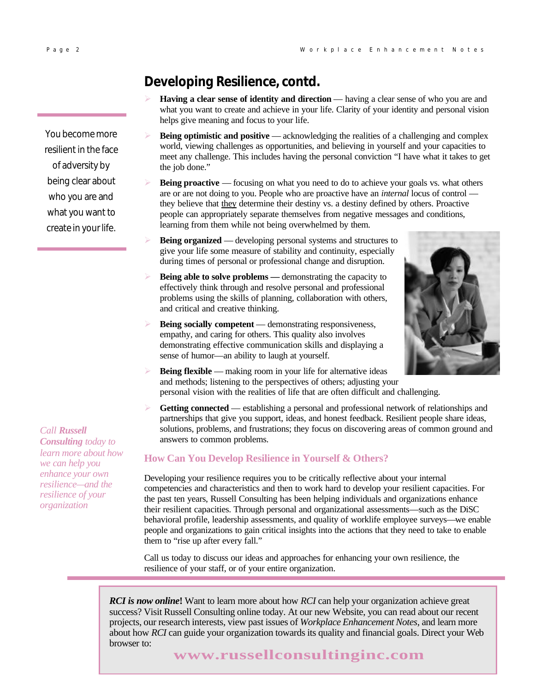You become more resilient in the face of adversity by being clear about who you are and what you want to create in your life.

#### *Call Russell*

*Consulting today to learn more about how we can help you enhance your own resilience—and the resilience of your organization*

### **Developing Resilience, contd.**

- **Having a clear sense of identity and direction** having a clear sense of who you are and what you want to create and achieve in your life. Clarity of your identity and personal vision helps give meaning and focus to your life.
- **Being optimistic and positive** acknowledging the realities of a challenging and complex world, viewing challenges as opportunities, and believing in yourself and your capacities to meet any challenge. This includes having the personal conviction "I have what it takes to get the job done."
- **Being proactive** focusing on what you need to do to achieve your goals vs. what others are or are not doing to you. People who are proactive have an *internal* locus of control they believe that they determine their destiny vs. a destiny defined by others. Proactive people can appropriately separate themselves from negative messages and conditions, learning from them while not being overwhelmed by them.
- **Being organized** developing personal systems and structures to give your life some measure of stability and continuity, especially during times of personal or professional change and disruption.
- **Being able to solve problems** demonstrating the capacity to effectively think through and resolve personal and professional problems using the skills of planning, collaboration with others, and critical and creative thinking.
- **Being socially competent** demonstrating responsiveness, empathy, and caring for others. This quality also involves demonstrating effective communication skills and displaying a sense of humor—an ability to laugh at yourself.



- **Being flexible** making room in your life for alternative ideas and methods; listening to the perspectives of others; adjusting your personal vision with the realities of life that are often difficult and challenging.
- Getting connected establishing a personal and professional network of relationships and partnerships that give you support, ideas, and honest feedback. Resilient people share ideas, solutions, problems, and frustrations; they focus on discovering areas of common ground and answers to common problems.

#### **How Can You Develop Resilience in Yourself & Others?**

Developing your resilience requires you to be critically reflective about your internal competencies and characteristics and then to work hard to develop your resilient capacities. For the past ten years, Russell Consulting has been helping individuals and organizations enhance their resilient capacities. Through personal and organizational assessments—such as the DiSC behavioral profile, leadership assessments, and quality of worklife employee surveys—we enable people and organizations to gain critical insights into the actions that they need to take to enable them to "rise up after every fall."

Call us today to discuss our ideas and approaches for enhancing your own resilience, the resilience of your staff, or of your entire organization.

*RCI is now online***!** Want to learn more about how *RCI* can help your organization achieve great success? Visit Russell Consulting online today. At our new Website, you can read about our recent projects, our research interests, view past issues of *Workplace Enhancement Notes*, and learn more about how *RCI* can guide your organization towards its quality and financial goals. Direct your Web browser to:

**www.russellconsultinginc.com**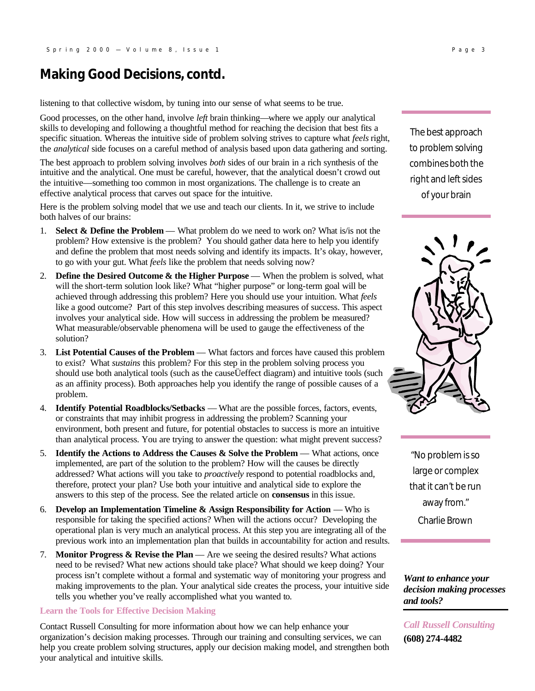#### **Making Good Decisions, contd.**

listening to that collective wisdom, by tuning into our sense of what seems to be true.

Good processes, on the other hand, involve *left* brain thinking—where we apply our analytical skills to developing and following a thoughtful method for reaching the decision that best fits a specific situation. Whereas the intuitive side of problem solving strives to capture what *feels* right, the *analytical* side focuses on a careful method of analysis based upon data gathering and sorting.

The best approach to problem solving involves *both* sides of our brain in a rich synthesis of the intuitive and the analytical. One must be careful, however, that the analytical doesn't crowd out the intuitive—something too common in most organizations. The challenge is to create an effective analytical process that carves out space for the intuitive.

Here is the problem solving model that we use and teach our clients. In it, we strive to include both halves of our brains:

- 1. **Select & Define the Problem** What problem do we need to work on? What is/is not the problem? How extensive is the problem? You should gather data here to help you identify and define the problem that most needs solving and identify its impacts. It's okay, however, to go with your gut. What *feels* like the problem that needs solving now?
- 2. **Define the Desired Outcome & the Higher Purpose** When the problem is solved, what will the short-term solution look like? What "higher purpose" or long-term goal will be achieved through addressing this problem? Here you should use your intuition. What *feels* like a good outcome? Part of this step involves describing measures of success. This aspect involves your analytical side. How will success in addressing the problem be measured? What measurable/observable phenomena will be used to gauge the effectiveness of the solution?
- 3. **List Potential Causes of the Problem** What factors and forces have caused this problem to exist? What *sustains* this problem? For this step in the problem solving process you should use both analytical tools (such as the causeÜeffect diagram) and intuitive tools (such as an affinity process). Both approaches help you identify the range of possible causes of a problem.
- 4. **Identify Potential Roadblocks/Setbacks**  What are the possible forces, factors, events, or constraints that may inhibit progress in addressing the problem? Scanning your environment, both present and future, for potential obstacles to success is more an intuitive than analytical process. You are trying to answer the question: what might prevent success?
- 5. **Identify the Actions to Address the Causes & Solve the Problem What actions, once** implemented, are part of the solution to the problem? How will the causes be directly addressed? What actions will you take to *proactively* respond to potential roadblocks and, therefore, protect your plan? Use both your intuitive and analytical side to explore the answers to this step of the process. See the related article on **consensus** in this issue.
- 6. **Develop an Implementation Timeline & Assign Responsibility for Action** Who is responsible for taking the specified actions? When will the actions occur? Developing the operational plan is very much an analytical process. At this step you are integrating all of the previous work into an implementation plan that builds in accountability for action and results.
- 7. **Monitor Progress & Revise the Plan** Are we seeing the desired results? What actions need to be revised? What new actions should take place? What should we keep doing? Your process isn't complete without a formal and systematic way of monitoring your progress and making improvements to the plan. Your analytical side creates the process, your intuitive side tells you whether you've really accomplished what you wanted to.

#### **Learn the Tools for Effective Decision Making**

Contact Russell Consulting for more information about how we can help enhance your organization's decision making processes. Through our training and consulting services, we can help you create problem solving structures, apply our decision making model, and strengthen both your analytical and intuitive skills.

The best approach to problem solving combines both the right and left sides of your brain



"No problem is so large or complex that it can't be run away from."

Charlie Brown

*Want to enhance your decision making processes and tools?*

*Call Russell Consulting*  **(608) 274-4482**